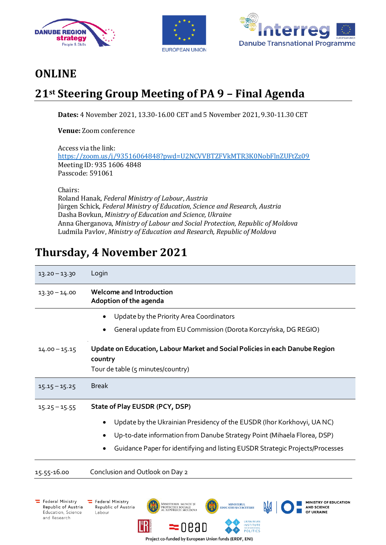





MINISTRY OF EDUCATION

**AND SCIENCE** 

OF UKRAINE

## **ONLINE**

## **21st Steering Group Meeting of PA 9 – Final Agenda**

**Dates:** 4 November 2021, 13.30-16.00 CET and 5 November 2021, 9.30-11.30 CET

**Venue:** Zoom conference

Access via the link: <https://zoom.us/j/93516064848?pwd=U2NCVVBTZFVkMTR3K0NobFlnZUFtZz09> Meeting ID: 935 1606 4848 Passcode: 591061

Chairs:

Roland Hanak, *Federal Ministry of Labour*, *Austria* Jürgen Schick, *Federal Ministry of Education, Science and Research, Austria* Dasha Bovkun, *Ministry of Education and Science, Ukraine* Anna Gherganova, *Ministry of Labour and Social Protection, Republic of Moldova* Ludmila Pavlov, *Ministry of Education and Research, Republic of Moldova*

## **Thursday, 4 November 2021**

| $13.20 - 13.30$ | Login                                                                                                                                                                                                                                                                |
|-----------------|----------------------------------------------------------------------------------------------------------------------------------------------------------------------------------------------------------------------------------------------------------------------|
| $13.30 - 14.00$ | <b>Welcome and Introduction</b><br>Adoption of the agenda                                                                                                                                                                                                            |
|                 | Update by the Priority Area Coordinators<br>General update from EU Commission (Dorota Korczyńska, DG REGIO)                                                                                                                                                          |
| $14.00 - 15.15$ | Update on Education, Labour Market and Social Policies in each Danube Region<br>country<br>Tour de table (5 minutes/country)                                                                                                                                         |
| $15.15 - 15.25$ | <b>Break</b>                                                                                                                                                                                                                                                         |
| $15.25 - 15.55$ | State of Play EUSDR (PCY, DSP)<br>Update by the Ukrainian Presidency of the EUSDR (Ihor Korkhovyi, UANC)<br>Up-to-date information from Danube Strategy Point (Mihaela Florea, DSP)<br>Guidance Paper for identifying and listing EUSDR Strategic Projects/Processes |
| 15.55-16.00     | Conclusion and Outlook on Day 2                                                                                                                                                                                                                                      |

MINISTERUL<br>EDUCAȚIEI ȘI CERCETĂRII

UKRAINIAN<br>INSTITUTE

POLITICS

Federal Ministry Republic of Austria Education, Science and Research

Federal Ministry Republic of Austria Labour

MINISTERUL MUNCII ȘI<br>Protecției sociale<br>Al Republicii Moldova

 $= 000$ 

Project co-funded by European Union funds (ERDF, ENI)